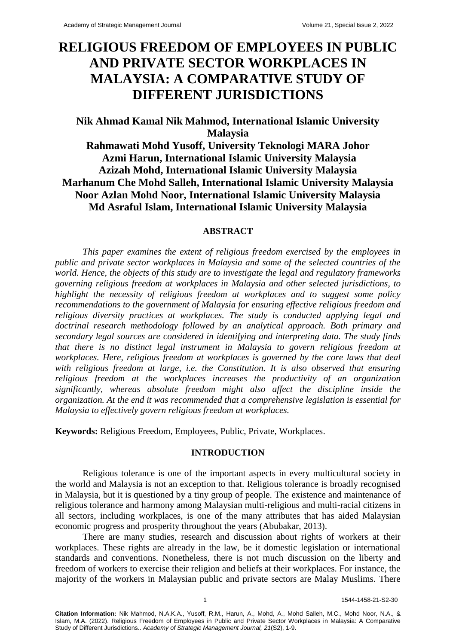# **RELIGIOUS FREEDOM OF EMPLOYEES IN PUBLIC AND PRIVATE SECTOR WORKPLACES IN MALAYSIA: A COMPARATIVE STUDY OF DIFFERENT JURISDICTIONS**

# **Nik Ahmad Kamal Nik Mahmod, International Islamic University Malaysia**

**Rahmawati Mohd Yusoff, University Teknologi MARA Johor Azmi Harun, International Islamic University Malaysia Azizah Mohd, International Islamic University Malaysia Marhanum Che Mohd Salleh, International Islamic University Malaysia Noor Azlan Mohd Noor, International Islamic University Malaysia Md Asraful Islam, International Islamic University Malaysia**

# **ABSTRACT**

*This paper examines the extent of religious freedom exercised by the employees in public and private sector workplaces in Malaysia and some of the selected countries of the world. Hence, the objects of this study are to investigate the legal and regulatory frameworks governing religious freedom at workplaces in Malaysia and other selected jurisdictions, to highlight the necessity of religious freedom at workplaces and to suggest some policy recommendations to the government of Malaysia for ensuring effective religious freedom and religious diversity practices at workplaces. The study is conducted applying legal and doctrinal research methodology followed by an analytical approach. Both primary and secondary legal sources are considered in identifying and interpreting data. The study finds that there is no distinct legal instrument in Malaysia to govern religious freedom at workplaces. Here, religious freedom at workplaces is governed by the core laws that deal with religious freedom at large, i.e. the Constitution. It is also observed that ensuring religious freedom at the workplaces increases the productivity of an organization significantly, whereas absolute freedom might also affect the discipline inside the organization. At the end it was recommended that a comprehensive legislation is essential for Malaysia to effectively govern religious freedom at workplaces.*

**Keywords:** Religious Freedom, Employees, Public, Private, Workplaces.

# **INTRODUCTION**

Religious tolerance is one of the important aspects in every multicultural society in the world and Malaysia is not an exception to that. Religious tolerance is broadly recognised in Malaysia, but it is questioned by a tiny group of people. The existence and maintenance of religious tolerance and harmony among Malaysian multi-religious and multi-racial citizens in all sectors, including workplaces, is one of the many attributes that has aided Malaysian economic progress and prosperity throughout the years (Abubakar, 2013).

There are many studies, research and discussion about rights of workers at their workplaces. These rights are already in the law, be it domestic legislation or international standards and conventions. Nonetheless, there is not much discussion on the liberty and freedom of workers to exercise their religion and beliefs at their workplaces. For instance, the majority of the workers in Malaysian public and private sectors are Malay Muslims. There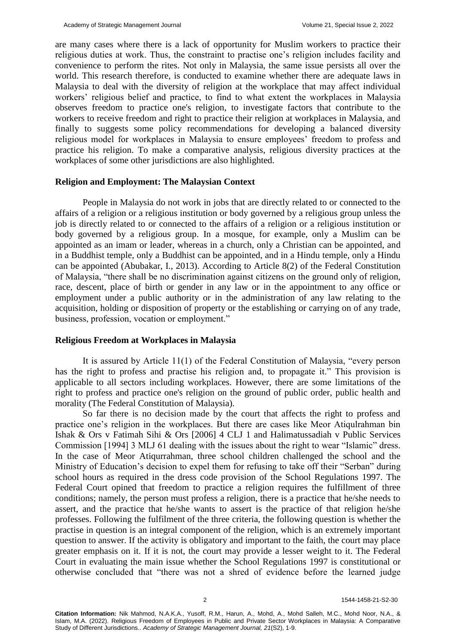are many cases where there is a lack of opportunity for Muslim workers to practice their religious duties at work. Thus, the constraint to practise one's religion includes facility and convenience to perform the rites. Not only in Malaysia, the same issue persists all over the world. This research therefore, is conducted to examine whether there are adequate laws in Malaysia to deal with the diversity of religion at the workplace that may affect individual workers' religious belief and practice, to find to what extent the workplaces in Malaysia observes freedom to practice one's religion, to investigate factors that contribute to the workers to receive freedom and right to practice their religion at workplaces in Malaysia, and finally to suggests some policy recommendations for developing a balanced diversity religious model for workplaces in Malaysia to ensure employees' freedom to profess and practice his religion. To make a comparative analysis, religious diversity practices at the workplaces of some other jurisdictions are also highlighted.

#### **Religion and Employment: The Malaysian Context**

People in Malaysia do not work in jobs that are directly related to or connected to the affairs of a religion or a religious institution or body governed by a religious group unless the job is directly related to or connected to the affairs of a religion or a religious institution or body governed by a religious group. In a mosque, for example, only a Muslim can be appointed as an imam or leader, whereas in a church, only a Christian can be appointed, and in a Buddhist temple, only a Buddhist can be appointed, and in a Hindu temple, only a Hindu can be appointed (Abubakar, I., 2013). According to Article 8(2) of the Federal Constitution of Malaysia, "there shall be no discrimination against citizens on the ground only of religion, race, descent, place of birth or gender in any law or in the appointment to any office or employment under a public authority or in the administration of any law relating to the acquisition, holding or disposition of property or the establishing or carrying on of any trade, business, profession, vocation or employment."

# **Religious Freedom at Workplaces in Malaysia**

It is assured by Article 11(1) of the Federal Constitution of Malaysia, "every person has the right to profess and practise his religion and, to propagate it." This provision is applicable to all sectors including workplaces. However, there are some limitations of the right to profess and practice one's religion on the ground of public order, public health and morality (The Federal Constitution of Malaysia).

So far there is no decision made by the court that affects the right to profess and practice one's religion in the workplaces. But there are cases like Meor Atiqulrahman bin Ishak & Ors v Fatimah Sihi & Ors [2006] 4 CLJ 1 and Halimatussadiah v Public Services Commission [1994] 3 MLJ 61 dealing with the issues about the right to wear "Islamic" dress. In the case of Meor Atiqurrahman, three school children challenged the school and the Ministry of Education's decision to expel them for refusing to take off their "Serban" during school hours as required in the dress code provision of the School Regulations 1997. The Federal Court opined that freedom to practice a religion requires the fulfillment of three conditions; namely, the person must profess a religion, there is a practice that he/she needs to assert, and the practice that he/she wants to assert is the practice of that religion he/she professes. Following the fulfilment of the three criteria, the following question is whether the practise in question is an integral component of the religion, which is an extremely important question to answer. If the activity is obligatory and important to the faith, the court may place greater emphasis on it. If it is not, the court may provide a lesser weight to it. The Federal Court in evaluating the main issue whether the School Regulations 1997 is constitutional or otherwise concluded that "there was not a shred of evidence before the learned judge

2 1544-1458-21-S2-30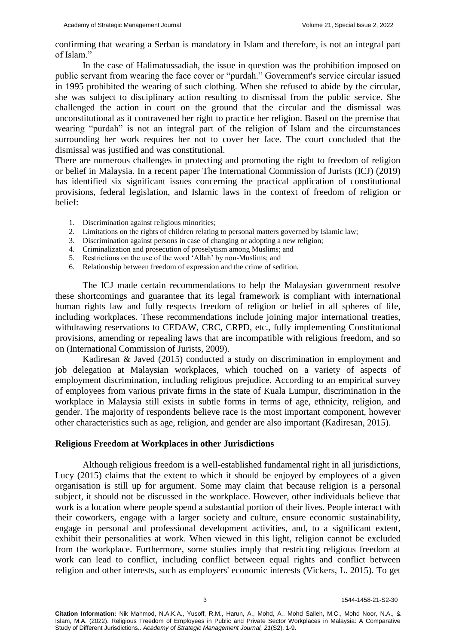confirming that wearing a Serban is mandatory in Islam and therefore, is not an integral part of Islam."

In the case of Halimatussadiah, the issue in question was the prohibition imposed on public servant from wearing the face cover or "purdah." Government's service circular issued in 1995 prohibited the wearing of such clothing. When she refused to abide by the circular, she was subject to disciplinary action resulting to dismissal from the public service. She challenged the action in court on the ground that the circular and the dismissal was unconstitutional as it contravened her right to practice her religion. Based on the premise that wearing "purdah" is not an integral part of the religion of Islam and the circumstances surrounding her work requires her not to cover her face. The court concluded that the dismissal was justified and was constitutional.

There are numerous challenges in protecting and promoting the right to freedom of religion or belief in Malaysia. In a recent paper The International Commission of Jurists (ICJ) (2019) has identified six significant issues concerning the practical application of constitutional provisions, federal legislation, and Islamic laws in the context of freedom of religion or belief:

- 1. Discrimination against religious minorities;
- 2. Limitations on the rights of children relating to personal matters governed by Islamic law;
- 3. Discrimination against persons in case of changing or adopting a new religion;
- 4. Criminalization and prosecution of proselytism among Muslims; and
- 5. Restrictions on the use of the word 'Allah' by non-Muslims; and
- 6. Relationship between freedom of expression and the crime of sedition.

The ICJ made certain recommendations to help the Malaysian government resolve these shortcomings and guarantee that its legal framework is compliant with international human rights law and fully respects freedom of religion or belief in all spheres of life, including workplaces. These recommendations include joining major international treaties, withdrawing reservations to CEDAW, CRC, CRPD, etc., fully implementing Constitutional provisions, amending or repealing laws that are incompatible with religious freedom, and so on (International Commission of Jurists, 2009).

Kadiresan & Javed (2015) conducted a study on discrimination in employment and job delegation at Malaysian workplaces, which touched on a variety of aspects of employment discrimination, including religious prejudice. According to an empirical survey of employees from various private firms in the state of Kuala Lumpur, discrimination in the workplace in Malaysia still exists in subtle forms in terms of age, ethnicity, religion, and gender. The majority of respondents believe race is the most important component, however other characteristics such as age, religion, and gender are also important (Kadiresan, 2015).

# **Religious Freedom at Workplaces in other Jurisdictions**

Although religious freedom is a well-established fundamental right in all jurisdictions, Lucy (2015) claims that the extent to which it should be enjoyed by employees of a given organisation is still up for argument. Some may claim that because religion is a personal subject, it should not be discussed in the workplace. However, other individuals believe that work is a location where people spend a substantial portion of their lives. People interact with their coworkers, engage with a larger society and culture, ensure economic sustainability, engage in personal and professional development activities, and, to a significant extent, exhibit their personalities at work. When viewed in this light, religion cannot be excluded from the workplace. Furthermore, some studies imply that restricting religious freedom at work can lead to conflict, including conflict between equal rights and conflict between religion and other interests, such as employers' economic interests (Vickers, L. 2015). To get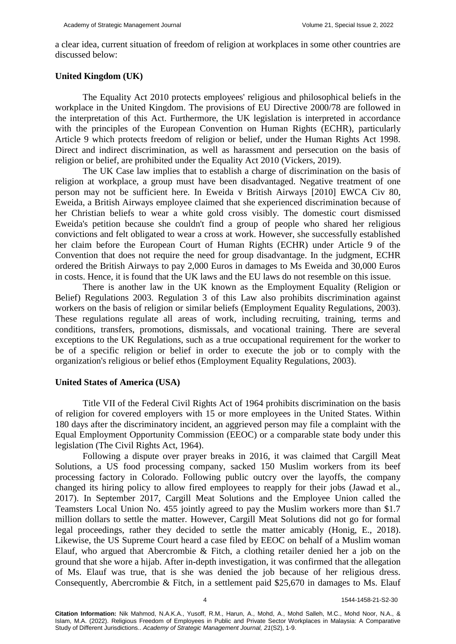a clear idea, current situation of freedom of religion at workplaces in some other countries are discussed below:

# **United Kingdom (UK)**

The Equality Act 2010 protects employees' religious and philosophical beliefs in the workplace in the United Kingdom. The provisions of EU Directive 2000/78 are followed in the interpretation of this Act. Furthermore, the UK legislation is interpreted in accordance with the principles of the European Convention on Human Rights (ECHR), particularly Article 9 which protects freedom of religion or belief, under the Human Rights Act 1998. Direct and indirect discrimination, as well as harassment and persecution on the basis of religion or belief, are prohibited under the Equality Act 2010 (Vickers, 2019).

The UK Case law implies that to establish a charge of discrimination on the basis of religion at workplace, a group must have been disadvantaged. Negative treatment of one person may not be sufficient here. In Eweida v British Airways [2010] EWCA Civ 80, Eweida, a British Airways employee claimed that she experienced discrimination because of her Christian beliefs to wear a white gold cross visibly. The domestic court dismissed Eweida's petition because she couldn't find a group of people who shared her religious convictions and felt obligated to wear a cross at work. However, she successfully established her claim before the European Court of Human Rights (ECHR) under Article 9 of the Convention that does not require the need for group disadvantage. In the judgment, ECHR ordered the British Airways to pay 2,000 Euros in damages to Ms Eweida and 30,000 Euros in costs. Hence, it is found that the UK laws and the EU laws do not resemble on this issue.

There is another law in the UK known as the Employment Equality (Religion or Belief) Regulations 2003. Regulation 3 of this Law also prohibits discrimination against workers on the basis of religion or similar beliefs (Employment Equality Regulations, 2003). These regulations regulate all areas of work, including recruiting, training, terms and conditions, transfers, promotions, dismissals, and vocational training. There are several exceptions to the UK Regulations, such as a true occupational requirement for the worker to be of a specific religion or belief in order to execute the job or to comply with the organization's religious or belief ethos (Employment Equality Regulations, 2003).

### **United States of America (USA)**

Title VII of the Federal Civil Rights Act of 1964 prohibits discrimination on the basis of religion for covered employers with 15 or more employees in the United States. Within 180 days after the discriminatory incident, an aggrieved person may file a complaint with the Equal Employment Opportunity Commission (EEOC) or a comparable state body under this legislation (The Civil Rights Act, 1964).

Following a dispute over prayer breaks in 2016, it was claimed that Cargill Meat Solutions, a US food processing company, sacked 150 Muslim workers from its beef processing factory in Colorado. Following public outcry over the layoffs, the company changed its hiring policy to allow fired employees to reapply for their jobs (Jawad et al., 2017). In September 2017, Cargill Meat Solutions and the Employee Union called the Teamsters Local Union No. 455 jointly agreed to pay the Muslim workers more than \$1.7 million dollars to settle the matter. However, Cargill Meat Solutions did not go for formal legal proceedings, rather they decided to settle the matter amicably (Honig, E., 2018). Likewise, the US Supreme Court heard a case filed by EEOC on behalf of a Muslim woman Elauf, who argued that Abercrombie & Fitch, a clothing retailer denied her a job on the ground that she wore a hijab. After in-depth investigation, it was confirmed that the allegation of Ms. Elauf was true, that is she was denied the job because of her religious dress. Consequently, Abercrombie & Fitch, in a settlement paid \$25,670 in damages to Ms. Elauf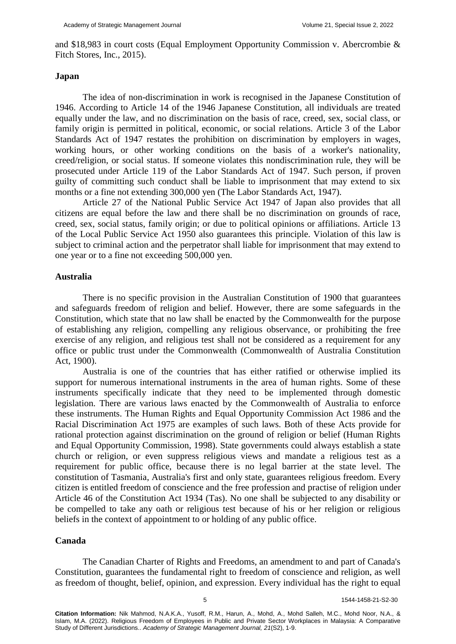and \$18,983 in court costs (Equal Employment Opportunity Commission v. Abercrombie & Fitch Stores, Inc., 2015).

# **Japan**

The idea of non-discrimination in work is recognised in the Japanese Constitution of 1946. According to Article 14 of the 1946 Japanese Constitution, all individuals are treated equally under the law, and no discrimination on the basis of race, creed, sex, social class, or family origin is permitted in political, economic, or social relations. Article 3 of the Labor Standards Act of 1947 restates the prohibition on discrimination by employers in wages, working hours, or other working conditions on the basis of a worker's nationality, creed/religion, or social status. If someone violates this nondiscrimination rule, they will be prosecuted under Article 119 of the Labor Standards Act of 1947. Such person, if proven guilty of committing such conduct shall be liable to imprisonment that may extend to six months or a fine not extending 300,000 yen (The Labor Standards Act, 1947).

Article 27 of the National Public Service Act 1947 of Japan also provides that all citizens are equal before the law and there shall be no discrimination on grounds of race, creed, sex, social status, family origin; or due to political opinions or affiliations. Article 13 of the Local Public Service Act 1950 also guarantees this principle. Violation of this law is subject to criminal action and the perpetrator shall liable for imprisonment that may extend to one year or to a fine not exceeding 500,000 yen.

#### **Australia**

There is no specific provision in the Australian Constitution of 1900 that guarantees and safeguards freedom of religion and belief. However, there are some safeguards in the Constitution, which state that no law shall be enacted by the Commonwealth for the purpose of establishing any religion, compelling any religious observance, or prohibiting the free exercise of any religion, and religious test shall not be considered as a requirement for any office or public trust under the Commonwealth (Commonwealth of Australia Constitution Act, 1900).

Australia is one of the countries that has either ratified or otherwise implied its support for numerous international instruments in the area of human rights. Some of these instruments specifically indicate that they need to be implemented through domestic legislation. There are various laws enacted by the Commonwealth of Australia to enforce these instruments. The Human Rights and Equal Opportunity Commission Act 1986 and the Racial Discrimination Act 1975 are examples of such laws. Both of these Acts provide for rational protection against discrimination on the ground of religion or belief (Human Rights and Equal Opportunity Commission, 1998). State governments could always establish a state church or religion, or even suppress religious views and mandate a religious test as a requirement for public office, because there is no legal barrier at the state level. The constitution of Tasmania, Australia's first and only state, guarantees religious freedom. Every citizen is entitled freedom of conscience and the free profession and practise of religion under Article 46 of the Constitution Act 1934 (Tas). No one shall be subjected to any disability or be compelled to take any oath or religious test because of his or her religion or religious beliefs in the context of appointment to or holding of any public office.

# **Canada**

The Canadian Charter of Rights and Freedoms, an amendment to and part of Canada's Constitution, guarantees the fundamental right to freedom of conscience and religion, as well as freedom of thought, belief, opinion, and expression. Every individual has the right to equal

5 1544-1458-21-S2-30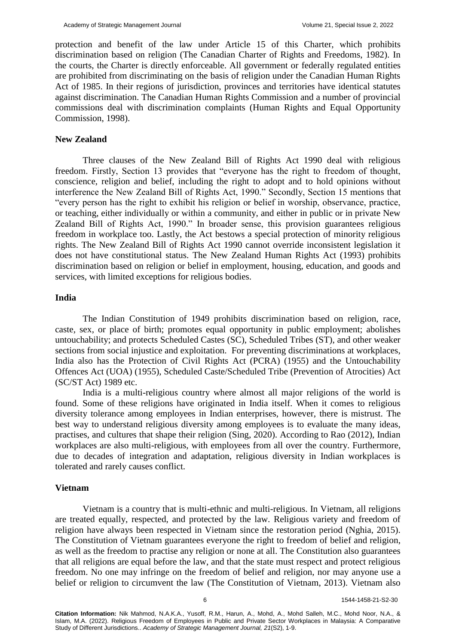protection and benefit of the law under Article 15 of this Charter, which prohibits discrimination based on religion (The Canadian Charter of Rights and Freedoms, 1982). In the courts, the Charter is directly enforceable. All government or federally regulated entities are prohibited from discriminating on the basis of religion under the Canadian Human Rights Act of 1985. In their regions of jurisdiction, provinces and territories have identical statutes against discrimination. The Canadian Human Rights Commission and a number of provincial commissions deal with discrimination complaints (Human Rights and Equal Opportunity Commission, 1998).

# **New Zealand**

Three clauses of the New Zealand Bill of Rights Act 1990 deal with religious freedom. Firstly, Section 13 provides that "everyone has the right to freedom of thought, conscience, religion and belief, including the right to adopt and to hold opinions without interference the New Zealand Bill of Rights Act, 1990." Secondly, Section 15 mentions that "every person has the right to exhibit his religion or belief in worship, observance, practice, or teaching, either individually or within a community, and either in public or in private New Zealand Bill of Rights Act, 1990." In broader sense, this provision guarantees religious freedom in workplace too. Lastly, the Act bestows a special protection of minority religious rights. The New Zealand Bill of Rights Act 1990 cannot override inconsistent legislation it does not have constitutional status. The New Zealand Human Rights Act (1993) prohibits discrimination based on religion or belief in employment, housing, education, and goods and services, with limited exceptions for religious bodies.

# **India**

The Indian Constitution of 1949 prohibits discrimination based on religion, race, caste, sex, or place of birth; promotes equal opportunity in public employment; abolishes untouchability; and protects Scheduled Castes (SC), Scheduled Tribes (ST), and other weaker sections from social injustice and exploitation. For preventing discriminations at workplaces, India also has the Protection of Civil Rights Act (PCRA) (1955) and the Untouchability Offences Act (UOA) (1955), Scheduled Caste/Scheduled Tribe (Prevention of Atrocities) Act (SC/ST Act) 1989 etc.

India is a multi-religious country where almost all major religions of the world is found. Some of these religions have originated in India itself. When it comes to religious diversity tolerance among employees in Indian enterprises, however, there is mistrust. The best way to understand religious diversity among employees is to evaluate the many ideas, practises, and cultures that shape their religion (Sing, 2020). According to Rao (2012), Indian workplaces are also multi-religious, with employees from all over the country. Furthermore, due to decades of integration and adaptation, religious diversity in Indian workplaces is tolerated and rarely causes conflict.

#### **Vietnam**

Vietnam is a country that is multi-ethnic and multi-religious. In Vietnam, all religions are treated equally, respected, and protected by the law. Religious variety and freedom of religion have always been respected in Vietnam since the restoration period (Nghia, 2015). The Constitution of Vietnam guarantees everyone the right to freedom of belief and religion, as well as the freedom to practise any religion or none at all. The Constitution also guarantees that all religions are equal before the law, and that the state must respect and protect religious freedom. No one may infringe on the freedom of belief and religion, nor may anyone use a belief or religion to circumvent the law (The Constitution of Vietnam, 2013). Vietnam also

6 1544-1458-21-S2-30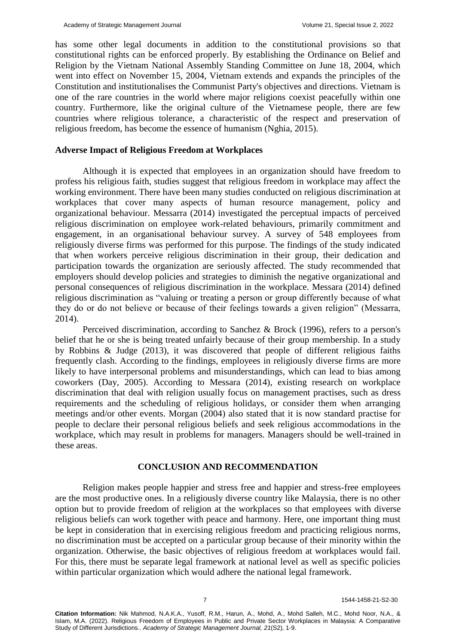has some other legal documents in addition to the constitutional provisions so that constitutional rights can be enforced properly. By establishing the Ordinance on Belief and Religion by the Vietnam National Assembly Standing Committee on June 18, 2004, which went into effect on November 15, 2004, Vietnam extends and expands the principles of the Constitution and institutionalises the Communist Party's objectives and directions. Vietnam is one of the rare countries in the world where major religions coexist peacefully within one country. Furthermore, like the original culture of the Vietnamese people, there are few countries where religious tolerance, a characteristic of the respect and preservation of religious freedom, has become the essence of humanism (Nghia, 2015).

# **Adverse Impact of Religious Freedom at Workplaces**

Although it is expected that employees in an organization should have freedom to profess his religious faith, studies suggest that religious freedom in workplace may affect the working environment. There have been many studies conducted on religious discrimination at workplaces that cover many aspects of human resource management, policy and organizational behaviour. Messarra (2014) investigated the perceptual impacts of perceived religious discrimination on employee work-related behaviours, primarily commitment and engagement, in an organisational behaviour survey. A survey of 548 employees from religiously diverse firms was performed for this purpose. The findings of the study indicated that when workers perceive religious discrimination in their group, their dedication and participation towards the organization are seriously affected. The study recommended that employers should develop policies and strategies to diminish the negative organizational and personal consequences of religious discrimination in the workplace. Messara (2014) defined religious discrimination as "valuing or treating a person or group differently because of what they do or do not believe or because of their feelings towards a given religion" (Messarra, 2014).

Perceived discrimination, according to Sanchez & Brock (1996), refers to a person's belief that he or she is being treated unfairly because of their group membership. In a study by Robbins & Judge (2013), it was discovered that people of different religious faiths frequently clash. According to the findings, employees in religiously diverse firms are more likely to have interpersonal problems and misunderstandings, which can lead to bias among coworkers (Day, 2005). According to Messara (2014), existing research on workplace discrimination that deal with religion usually focus on management practises, such as dress requirements and the scheduling of religious holidays, or consider them when arranging meetings and/or other events. Morgan (2004) also stated that it is now standard practise for people to declare their personal religious beliefs and seek religious accommodations in the workplace, which may result in problems for managers. Managers should be well-trained in these areas.

# **CONCLUSION AND RECOMMENDATION**

Religion makes people happier and stress free and happier and stress-free employees are the most productive ones. In a religiously diverse country like Malaysia, there is no other option but to provide freedom of religion at the workplaces so that employees with diverse religious beliefs can work together with peace and harmony. Here, one important thing must be kept in consideration that in exercising religious freedom and practicing religious norms, no discrimination must be accepted on a particular group because of their minority within the organization. Otherwise, the basic objectives of religious freedom at workplaces would fail. For this, there must be separate legal framework at national level as well as specific policies within particular organization which would adhere the national legal framework.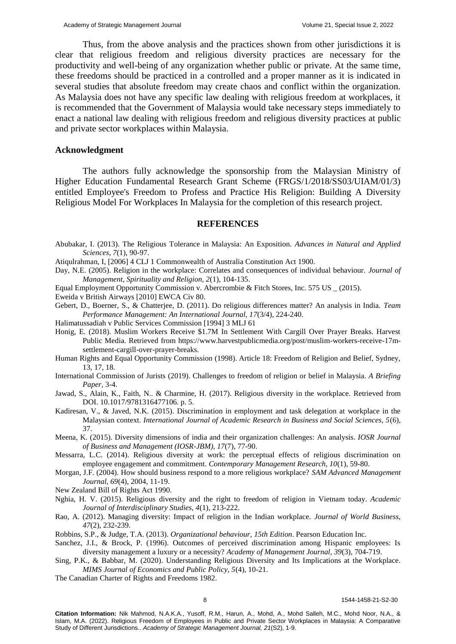Thus, from the above analysis and the practices shown from other jurisdictions it is clear that religious freedom and religious diversity practices are necessary for the productivity and well-being of any organization whether public or private. At the same time, these freedoms should be practiced in a controlled and a proper manner as it is indicated in several studies that absolute freedom may create chaos and conflict within the organization. As Malaysia does not have any specific law dealing with religious freedom at workplaces, it is recommended that the Government of Malaysia would take necessary steps immediately to enact a national law dealing with religious freedom and religious diversity practices at public and private sector workplaces within Malaysia.

# **Acknowledgment**

The authors fully acknowledge the sponsorship from the Malaysian Ministry of Higher Education Fundamental Research Grant Scheme (FRGS/1/2018/SS03/UIAM/01/3) entitled Employee's Freedom to Profess and Practice His Religion: Building A Diversity Religious Model For Workplaces In Malaysia for the completion of this research project.

#### **REFERENCES**

- Abubakar, I. (2013). The Religious Tolerance in Malaysia: An Exposition. *Advances in Natural and Applied Sciences, 7*(1), 90-97.
- Atiqulrahman, I, [2006] 4 CLJ 1 Commonwealth of Australia Constitution Act 1900.
- Day, N.E. (2005). Religion in the workplace: Correlates and consequences of individual behaviour. *Journal of Management, Spirituality and Religion, 2*(1), 104-135.
- Equal Employment Opportunity Commission v. Abercrombie & Fitch Stores, Inc. 575 US \_ (2015).
- Eweida v British Airways [2010] EWCA Civ 80.
- Gebert, D., Boerner, S., & Chatterjee, D. (2011). Do religious differences matter? An analysis in India. *Team Performance Management: An International Journal, 17*(3/4), 224-240.
- Halimatussadiah v Public Services Commission [1994] 3 MLJ 61
- Honig, E. (2018). Muslim Workers Receive \$1.7M In Settlement With Cargill Over Prayer Breaks. Harvest Public Media. Retrieved from https://www.harvestpublicmedia.org/post/muslim-workers-receive-17msettlement-cargill-over-prayer-breaks.
- Human Rights and Equal Opportunity Commission (1998). Article 18: Freedom of Religion and Belief, Sydney, 13, 17, 18.
- International Commission of Jurists (2019). Challenges to freedom of religion or belief in Malaysia. *A Briefing Paper*, 3-4.
- Jawad, S., Alain, K., Faith, N.. & Charmine, H. (2017). Religious diversity in the workplace. Retrieved from DOI. 10.1017/9781316477106. p. 5.
- Kadiresan, V., & Javed, N.K. (2015). Discrimination in employment and task delegation at workplace in the Malaysian context. *International Journal of Academic Research in Business and Social Sciences, 5*(6), 37.
- Meena, K. (2015). Diversity dimensions of india and their organization challenges: An analysis. *IOSR Journal of Business and Management (IOSR-JBM), 17*(7), 77-90.
- Messarra, L.C. (2014). Religious diversity at work: the perceptual effects of religious discrimination on employee engagement and commitment. *Contemporary Management Research, 10*(1), 59-80.
- Morgan, J.F. (2004). How should business respond to a more religious workplace? *SAM Advanced Management Journal, 69*(4), 2004, 11-19.
- New Zealand Bill of Rights Act 1990.
- Nghia, H. V. (2015). Religious diversity and the right to freedom of religion in Vietnam today. *Academic Journal of Interdisciplinary Studies, 4*(1), 213-222.
- Rao, A. (2012). Managing diversity: Impact of religion in the Indian workplace. *Journal of World Business, 47*(2), 232-239.
- Robbins, S.P., & Judge, T.A. (2013). *Organizational behaviour, 15th Edition*. Pearson Education Inc.
- Sanchez, J.I., & Brock, P. (1996). Outcomes of perceived discrimination among Hispanic employees: Is diversity management a luxury or a necessity? *Academy of Management Journal, 39*(3), 704-719.
- Sing, P.K., & Babbar, M. (2020). Understanding Religious Diversity and Its Implications at the Workplace. *MIMS Journal of Economics and Public Policy, 5*(4), 10-21.
- The Canadian Charter of Rights and Freedoms 1982.